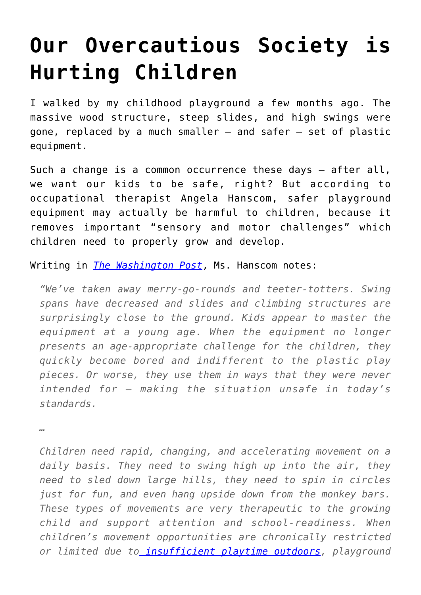## **[Our Overcautious Society is](https://intellectualtakeout.org/2015/12/our-overcautious-society-is-hurting-children/) [Hurting Children](https://intellectualtakeout.org/2015/12/our-overcautious-society-is-hurting-children/)**

I walked by my childhood playground a few months ago. The massive wood structure, steep slides, and high swings were gone, replaced by a much smaller – and safer – set of plastic equipment.

Such a change is a common occurrence these days – after all, we want our kids to be safe, right? But according to occupational therapist Angela Hanscom, safer playground equipment may actually be harmful to children, because it removes important "sensory and motor challenges" which children need to properly grow and develop.

Writing in *[The Washington Post](https://www.washingtonpost.com/news/answer-sheet/wp/2015/11/29/rethinking-ultra-safe-playgrounds-why-its-time-to-bring-back-thrill-provoking-equipment-for-kids/)*, Ms. Hanscom notes:

*"We've taken away merry-go-rounds and teeter-totters. Swing spans have decreased and slides and climbing structures are surprisingly close to the ground. Kids appear to master the equipment at a young age. When the equipment no longer presents an age-appropriate challenge for the children, they quickly become bored and indifferent to the plastic play pieces. Or worse, they use them in ways that they were never intended for – making the situation unsafe in today's standards.*

*…*

*Children need rapid, changing, and accelerating movement on a daily basis. They need to swing high up into the air, they need to sled down large hills, they need to spin in circles just for fun, and even hang upside down from the monkey bars. These types of movements are very therapeutic to the growing child and support attention and school-readiness. When children's movement opportunities are chronically restricted or limited due t[o insufficient playtime outdoors,](http://www.cbsnews.com/news/researchers-warn-kids-dont-get-enough-outdoor-playtime/) playground*